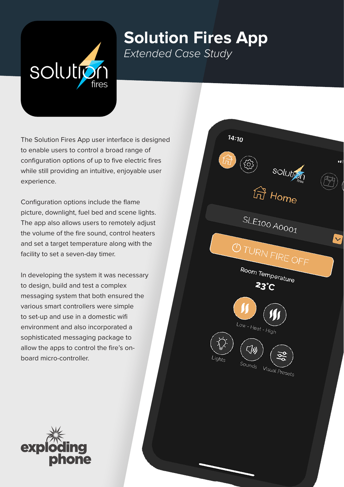

## **Solution Fires App** *Extended Case Study*

The Solution Fires App user interface is designed to enable users to control a broad range of configuration options of up to five electric fires while still providing an intuitive, enjoyable user experience.

Configuration options include the flame picture, downlight, fuel bed and scene lights. The app also allows users to remotely adjust the volume of the fire sound, control heaters and set a target temperature along with the facility to set a seven-day timer.

In developing the system it was necessary to design, build and test a complex messaging system that both ensured the various smart controllers were simple to set-up and use in a domestic wifi environment and also incorporated a sophisticated messaging package to allow the apps to control the fire's onboard micro-controller.